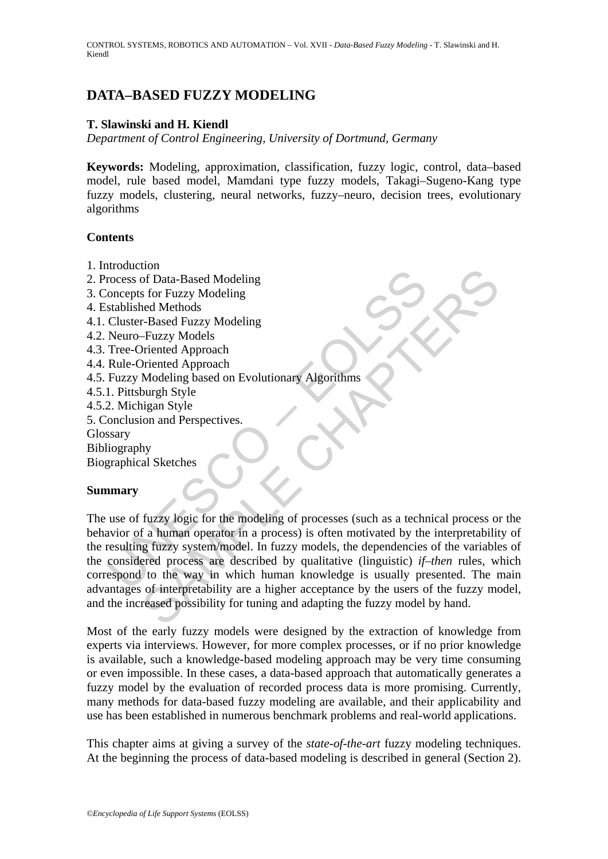# **DATA–BASED FUZZY MODELING**

### **T. Slawinski and H. Kiendl**

*Department of Control Engineering, University of Dortmund, Germany* 

**Keywords:** Modeling, approximation, classification, fuzzy logic, control, data–based model, rule based model, Mamdani type fuzzy models, Takagi–Sugeno-Kang type fuzzy models, clustering, neural networks, fuzzy–neuro, decision trees, evolutionary algorithms

### **Contents**

- 1. Introduction
- 2. Process of Data-Based Modeling
- 3. Concepts for Fuzzy Modeling
- 4. Established Methods
- 4.1. Cluster-Based Fuzzy Modeling
- 4.2. Neuro–Fuzzy Models
- 4.3. Tree-Oriented Approach
- 4.4. Rule-Oriented Approach
- 4.5. Fuzzy Modeling based on Evolutionary Algorithms
- 4.5.1. Pittsburgh Style
- 4.5.2. Michigan Style
- 5. Conclusion and Perspectives.
- Glossary
- Bibliography

Biographical Sketches

### **Summary**

Example the state of Data-Based Modeling<br>
incomepts for Fuzzy Modeling<br>
stablished Methods<br>
Cluster-Based Fuzzy Modeling<br>
Neuro-Fruzzy Models<br>
Tree-Oriented Approach<br>
Tue-Oriented Approach<br>
Fuzzy Modeling based on Evolutio For Data-Based Modeling<br>
of Data-Based Modeling<br>
s for Fuzzy Modeling<br>
Frenched Approach<br>
Frenched Approach<br>
Frenched Approach<br>
Medicing based on Evolutionary Algorithms<br>
Show burgh Style<br>
burgh Style<br>
shown and Perspectiv The use of fuzzy logic for the modeling of processes (such as a technical process or the behavior of a human operator in a process) is often motivated by the interpretability of the resulting fuzzy system/model. In fuzzy models, the dependencies of the variables of the considered process are described by qualitative (linguistic) *if–then* rules, which correspond to the way in which human knowledge is usually presented. The main advantages of interpretability are a higher acceptance by the users of the fuzzy model, and the increased possibility for tuning and adapting the fuzzy model by hand.

Most of the early fuzzy models were designed by the extraction of knowledge from experts via interviews. However, for more complex processes, or if no prior knowledge is available, such a knowledge-based modeling approach may be very time consuming or even impossible. In these cases, a data-based approach that automatically generates a fuzzy model by the evaluation of recorded process data is more promising. Currently, many methods for data-based fuzzy modeling are available, and their applicability and use has been established in numerous benchmark problems and real-world applications.

This chapter aims at giving a survey of the *state-of-the-art* fuzzy modeling techniques. At the beginning the process of data-based modeling is described in general (Section 2).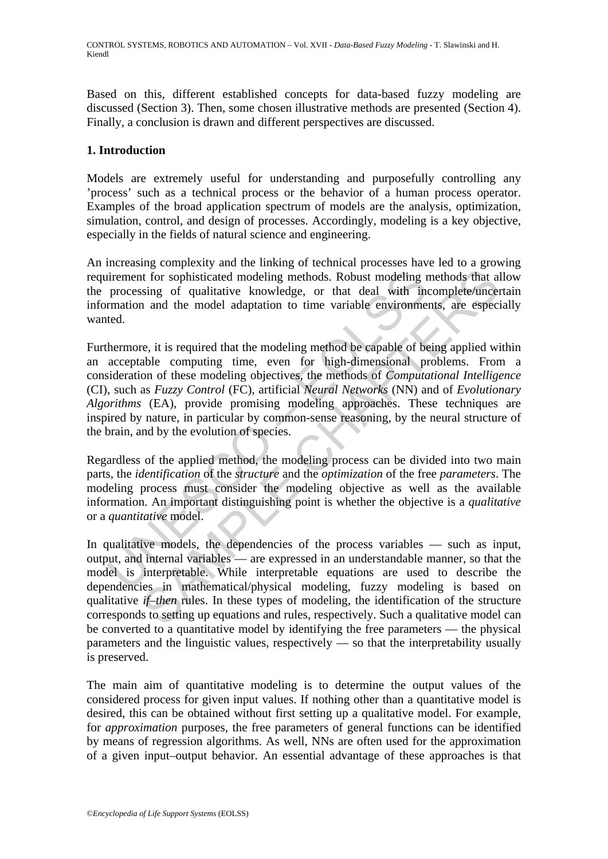Based on this, different established concepts for data-based fuzzy modeling are discussed (Section 3). Then, some chosen illustrative methods are presented (Section 4). Finally, a conclusion is drawn and different perspectives are discussed.

## **1. Introduction**

Models are extremely useful for understanding and purposefully controlling any 'process' such as a technical process or the behavior of a human process operator. Examples of the broad application spectrum of models are the analysis, optimization, simulation, control, and design of processes. Accordingly, modeling is a key objective, especially in the fields of natural science and engineering.

An increasing complexity and the linking of technical processes have led to a growing requirement for sophisticated modeling methods. Robust modeling methods that allow the processing of qualitative knowledge, or that deal with incomplete/uncertain information and the model adaptation to time variable environments, are especially wanted.

direment for sophisticated modeling methods. Robust modeling processing of qualitative knowledge, or that deal with in<br>mation and the model adaptation to time variable environme<br>ted.<br>hermore, it is required that the model the total multiple interpretable. While interpretable equality, the interpretable in the system of the strongthisticated modeling methods. Robust modeling methods that a sing of qualitative knowledge, or that deal with in Furthermore, it is required that the modeling method be capable of being applied within an acceptable computing time, even for high-dimensional problems. From a consideration of these modeling objectives, the methods of *Computational Intelligence* (CI), such as *Fuzzy Control* (FC), artificial *Neural Networks* (NN) and of *Evolutionary Algorithms* (EA), provide promising modeling approaches. These techniques are inspired by nature, in particular by common-sense reasoning, by the neural structure of the brain, and by the evolution of species.

Regardless of the applied method, the modeling process can be divided into two main parts, the *identification* of the *structure* and the *optimization* of the free *parameters*. The modeling process must consider the modeling objective as well as the available information. An important distinguishing point is whether the objective is a *qualitative* or a *quantitative* model.

In qualitative models, the dependencies of the process variables — such as input, output, and internal variables — are expressed in an understandable manner, so that the model is interpretable. While interpretable equations are used to describe the dependencies in mathematical/physical modeling, fuzzy modeling is based on qualitative *if–then* rules. In these types of modeling, the identification of the structure corresponds to setting up equations and rules, respectively. Such a qualitative model can be converted to a quantitative model by identifying the free parameters — the physical parameters and the linguistic values, respectively — so that the interpretability usually is preserved.

The main aim of quantitative modeling is to determine the output values of the considered process for given input values. If nothing other than a quantitative model is desired, this can be obtained without first setting up a qualitative model. For example, for *approximation* purposes, the free parameters of general functions can be identified by means of regression algorithms. As well, NNs are often used for the approximation of a given input–output behavior. An essential advantage of these approaches is that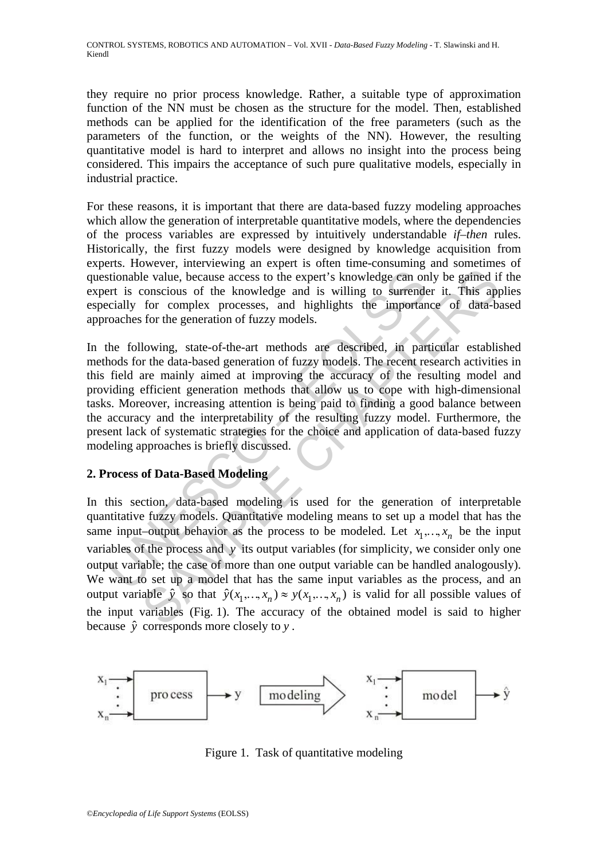they require no prior process knowledge. Rather, a suitable type of approximation function of the NN must be chosen as the structure for the model. Then, established methods can be applied for the identification of the free parameters (such as the parameters of the function, or the weights of the NN). However, the resulting quantitative model is hard to interpret and allows no insight into the process being considered. This impairs the acceptance of such pure qualitative models, especially in industrial practice.

For these reasons, it is important that there are data-based fuzzy modeling approaches which allow the generation of interpretable quantitative models, where the dependencies of the process variables are expressed by intuitively understandable *if–then* rules. Historically, the first fuzzy models were designed by knowledge acquisition from experts. However, interviewing an expert is often time-consuming and sometimes of questionable value, because access to the expert's knowledge can only be gained if the expert is conscious of the knowledge and is willing to surrender it. This applies especially for complex processes, and highlights the importance of data-based approaches for the generation of fuzzy models.

stionable value, because access to the expert's knowledge can onert is conscious of the knowledge and is willing to surrende<br>cially for complex processes, and highlights the important coaches for the generation of fuzzy m In the following, state-of-the-art methods are described, in particular established methods for the data-based generation of fuzzy models. The recent research activities in this field are mainly aimed at improving the accuracy of the resulting model and providing efficient generation methods that allow us to cope with high-dimensional tasks. Moreover, increasing attention is being paid to finding a good balance between the accuracy and the interpretability of the resulting fuzzy model. Furthermore, the present lack of systematic strategies for the choice and application of data-based fuzzy modeling approaches is briefly discussed.

## **2. Process of Data-Based Modeling**

Le value, because access to the expert's knowledge can only be gained if<br>conscious of the knowledge and is willing to surrender it. This app<br>for complex processes, and highlights the importance of data-bi-<br>for the generat In this section, data-based modeling is used for the generation of interpretable quantitative fuzzy models. Quantitative modeling means to set up a model that has the same input–output behavior as the process to be modeled. Let  $x_1, ..., x_n$  be the input variables of the process and *y* its output variables (for simplicity, we consider only one output variable; the case of more than one output variable can be handled analogously). We want to set up a model that has the same input variables as the process, and an output variable  $\hat{y}$  so that  $\hat{y}(x_1, ..., x_n) \approx y(x_1, ..., x_n)$  is valid for all possible values of the input variables (Fig. 1). The accuracy of the obtained model is said to higher because *y*ˆ corresponds more closely to *y* .



Figure 1. Task of quantitative modeling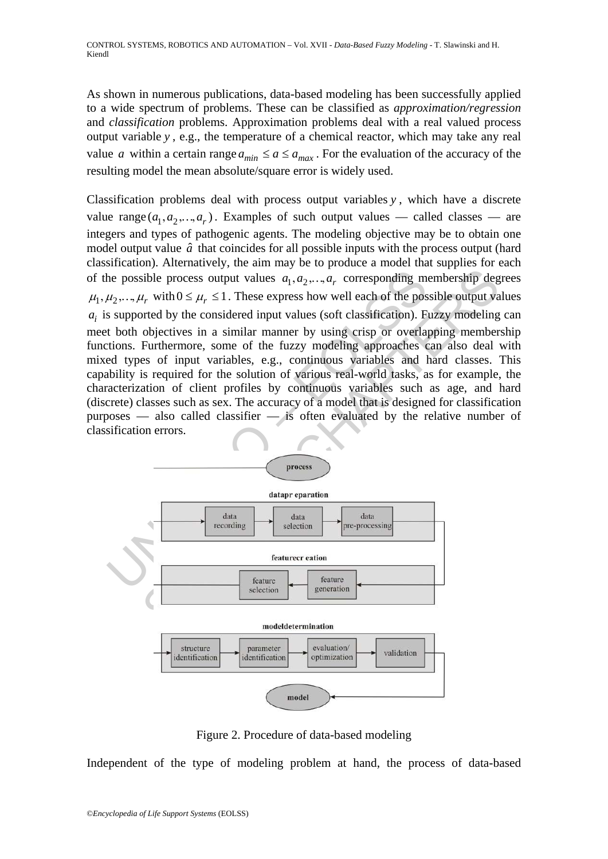As shown in numerous publications, data-based modeling has been successfully applied to a wide spectrum of problems. These can be classified as *approximation/regression* and *classification* problems. Approximation problems deal with a real valued process output variable *y* , e.g., the temperature of a chemical reactor, which may take any real value *a* within a certain range  $a_{min} \le a \le a_{max}$ . For the evaluation of the accuracy of the resulting model the mean absolute/square error is widely used.

the possible process output values  $a_1, a_2, ..., a_r$  corresponding m<br>  $\mu_2, ..., \mu_r$  with  $0 \le \mu_r \le 1$ . These express how well each of the positive supported by the considered input values (soft classification). Fit both objecti sible process output values  $a_1, a_2, ..., a_r$  corresponding membership deg<br>  $a_r$  with  $0 \leq \mu_r \leq 1$ . These express how well each of the possible output va<br>  $a_r$  with  $0 \leq \mu_r \leq 1$ . These express how well each of the possibl Classification problems deal with process output variables *y* , which have a discrete value range  $(a_1, a_2, ..., a_r)$ . Examples of such output values — called classes — are integers and types of pathogenic agents. The modeling objective may be to obtain one model output value  $\hat{a}$  that coincides for all possible inputs with the process output (hard classification). Alternatively, the aim may be to produce a model that supplies for each of the possible process output values  $a_1, a_2, ..., a_r$  corresponding membership degrees  $\mu_1, \mu_2, ..., \mu_r$  with  $0 \le \mu_r \le 1$ . These express how well each of the possible output values  $a_i$  is supported by the considered input values (soft classification). Fuzzy modeling can meet both objectives in a similar manner by using crisp or overlapping membership functions. Furthermore, some of the fuzzy modeling approaches can also deal with mixed types of input variables, e.g., continuous variables and hard classes. This capability is required for the solution of various real-world tasks, as for example, the characterization of client profiles by continuous variables such as age, and hard (discrete) classes such as sex. The accuracy of a model that is designed for classification purposes — also called classifier — is often evaluated by the relative number of classification errors.





Figure 2. Procedure of data-based modeling

Independent of the type of modeling problem at hand, the process of data-based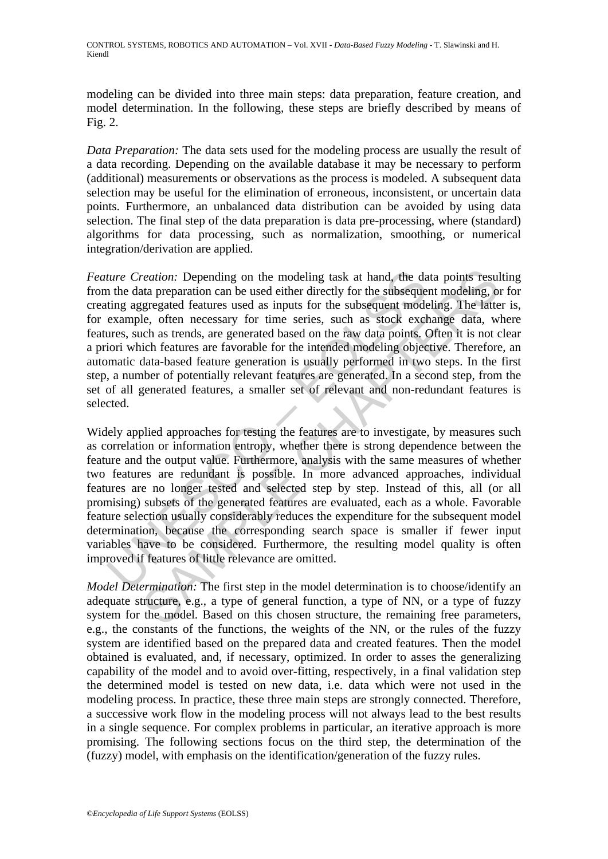modeling can be divided into three main steps: data preparation, feature creation, and model determination. In the following, these steps are briefly described by means of Fig. 2.

*Data Preparation:* The data sets used for the modeling process are usually the result of a data recording. Depending on the available database it may be necessary to perform (additional) measurements or observations as the process is modeled. A subsequent data selection may be useful for the elimination of erroneous, inconsistent, or uncertain data points. Furthermore, an unbalanced data distribution can be avoided by using data selection. The final step of the data preparation is data pre-processing, where (standard) algorithms for data processing, such as normalization, smoothing, or numerical integration/derivation are applied.

*Feature Creation:* Depending on the modeling task at hand, the data points resulting from the data preparation can be used either directly for the subsequent modeling, or for creating aggregated features used as inputs for the subsequent modeling. The latter is, for example, often necessary for time series, such as stock exchange data, where features, such as trends, are generated based on the raw data points. Often it is not clear a priori which features are favorable for the intended modeling objective. Therefore, an automatic data-based feature generation is usually performed in two steps. In the first step, a number of potentially relevant features are generated. In a second step, from the set of all generated features, a smaller set of relevant and non-redundant features is selected.

ture Creation: Depending on the modeling task at hand, the dan the data preparation can be used either directly for the subseque ting aggregated features used as inputs for the subsequent mode example, often necessary for reation: Depending on the modeling task at hand, the data points result<br>at preparation can be used either directly for the subsequent modeling, or<br>greggated features used as inputs for the subsequent modeling. The latter<br>e Widely applied approaches for testing the features are to investigate, by measures such as correlation or information entropy, whether there is strong dependence between the feature and the output value. Furthermore, analysis with the same measures of whether two features are redundant is possible. In more advanced approaches, individual features are no longer tested and selected step by step. Instead of this, all (or all promising) subsets of the generated features are evaluated, each as a whole. Favorable feature selection usually considerably reduces the expenditure for the subsequent model determination, because the corresponding search space is smaller if fewer input variables have to be considered. Furthermore, the resulting model quality is often improved if features of little relevance are omitted.

*Model Determination:* The first step in the model determination is to choose/identify an adequate structure, e.g., a type of general function, a type of NN, or a type of fuzzy system for the model. Based on this chosen structure, the remaining free parameters, e.g., the constants of the functions, the weights of the NN, or the rules of the fuzzy system are identified based on the prepared data and created features. Then the model obtained is evaluated, and, if necessary, optimized. In order to asses the generalizing capability of the model and to avoid over-fitting, respectively, in a final validation step the determined model is tested on new data, i.e. data which were not used in the modeling process. In practice, these three main steps are strongly connected. Therefore, a successive work flow in the modeling process will not always lead to the best results in a single sequence. For complex problems in particular, an iterative approach is more promising. The following sections focus on the third step, the determination of the (fuzzy) model, with emphasis on the identification/generation of the fuzzy rules.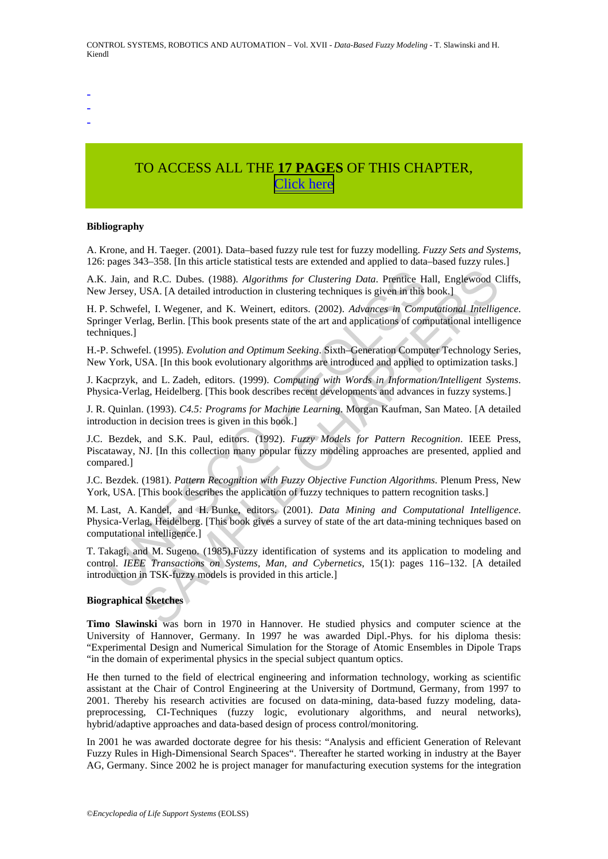-

- -

# TO ACCESS ALL THE **17 PAGES** OF THIS CHAPTER, [C](https://www.eolss.net/ebooklib/sc_cart.aspx?File=E6-43-23-01)[lick here](http://www.eolss.net/Eolss-sampleAllChapter.aspx)

#### **Bibliography**

A. Krone, and H. Taeger. (2001). Data–based fuzzy rule test for fuzzy modelling. *Fuzzy Sets and Systems*, 126: pages 343–358. [In this article statistical tests are extended and applied to data–based fuzzy rules.]

A.K. Jain, and R.C. Dubes. (1988). *Algorithms for Clustering Data*. Prentice Hall, Englewood Cliffs, New Jersey, USA. [A detailed introduction in clustering techniques is given in this book.]

H. P. Schwefel, I. Wegener, and K. Weinert, editors. (2002). *Advances in Computational Intelligence*. Springer Verlag, Berlin. [This book presents state of the art and applications of computational intelligence techniques.]

H.-P. Schwefel. (1995). *Evolution and Optimum Seeking*. Sixth–Generation Computer Technology Series, New York, USA. [In this book evolutionary algorithms are introduced and applied to optimization tasks.]

J. Kacprzyk, and L. Zadeh, editors. (1999). *Computing with Words in Information/Intelligent Systems*. Physica-Verlag, Heidelberg. [This book describes recent developments and advances in fuzzy systems.]

J. R. Quinlan. (1993). *C4.5: Programs for Machine Learning*. Morgan Kaufman, San Mateo. [A detailed introduction in decision trees is given in this book.]

Jain, and R.C. Dubes. (1988). Algorithms for Clustering Data. Prentice H. Jersey, USA. [A detailed introduction in clustering techniques is given in this Schwefel, 1. Wegener, and K. Weinert, editors. (2002). Advances in C nd R.C. Dubes. (1988). *Algorithms for Clustering Data*. Prentice Hall, Englewood CISA. [A detailed introduction in clustering techniques is given in this book.]<br>
e.l., I. Wegener, and K. Weinert, editors. (2002). *Advance* J.C. Bezdek, and S.K. Paul, editors. (1992). *Fuzzy Models for Pattern Recognition*. IEEE Press, Piscataway, NJ. [In this collection many popular fuzzy modeling approaches are presented, applied and compared.]

J.C. Bezdek. (1981). *Pattern Recognition with Fuzzy Objective Function Algorithms*. Plenum Press, New York, USA. [This book describes the application of fuzzy techniques to pattern recognition tasks.]

M. Last, A. Kandel, and H. Bunke, editors. (2001). *Data Mining and Computational Intelligence*. Physica-Verlag, Heidelberg. [This book gives a survey of state of the art data-mining techniques based on computational intelligence.]

T. Takagi, and M. Sugeno. (1985).Fuzzy identification of systems and its application to modeling and control. *IEEE Transactions on Systems, Man, and Cybernetics*, 15(1): pages 116–132. [A detailed introduction in TSK-fuzzy models is provided in this article.]

#### **Biographical Sketches**

**Timo Slawinski** was born in 1970 in Hannover. He studied physics and computer science at the University of Hannover, Germany. In 1997 he was awarded Dipl.-Phys. for his diploma thesis: "Experimental Design and Numerical Simulation for the Storage of Atomic Ensembles in Dipole Traps "in the domain of experimental physics in the special subject quantum optics.

He then turned to the field of electrical engineering and information technology, working as scientific assistant at the Chair of Control Engineering at the University of Dortmund, Germany, from 1997 to 2001. Thereby his research activities are focused on data-mining, data-based fuzzy modeling, datapreprocessing, CI-Techniques (fuzzy logic, evolutionary algorithms, and neural networks), hybrid/adaptive approaches and data-based design of process control/monitoring.

In 2001 he was awarded doctorate degree for his thesis: "Analysis and efficient Generation of Relevant Fuzzy Rules in High-Dimensional Search Spaces". Thereafter he started working in industry at the Bayer AG, Germany. Since 2002 he is project manager for manufacturing execution systems for the integration